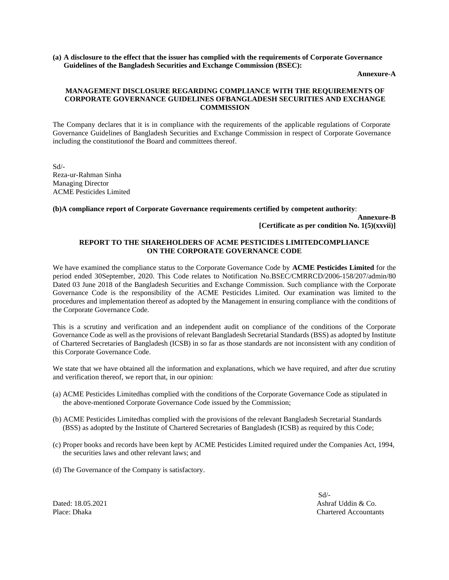**(a) A disclosure to the effect that the issuer has complied with the requirements of Corporate Governance Guidelines of the Bangladesh Securities and Exchange Commission (BSEC):**

**Annexure-A**

## **MANAGEMENT DISCLOSURE REGARDING COMPLIANCE WITH THE REQUIREMENTS OF CORPORATE GOVERNANCE GUIDELINES OFBANGLADESH SECURITIES AND EXCHANGE COMMISSION**

The Company declares that it is in compliance with the requirements of the applicable regulations of Corporate Governance Guidelines of Bangladesh Securities and Exchange Commission in respect of Corporate Governance including the constitutionof the Board and committees thereof.

Sd/- Reza-ur-Rahman Sinha Managing Director ACME Pesticides Limited

## **(b)A compliance report of Corporate Governance requirements certified by competent authority**:

**Annexure-B [Certificate as per condition No. 1(5)(xxvii)]**

#### **REPORT TO THE SHAREHOLDERS OF ACME PESTICIDES LIMITEDCOMPLIANCE ON THE CORPORATE GOVERNANCE CODE**

We have examined the compliance status to the Corporate Governance Code by **ACME Pesticides Limited** for the period ended 30September, 2020. This Code relates to Notification No.BSEC/CMRRCD/2006-158/207/admin/80 Dated 03 June 2018 of the Bangladesh Securities and Exchange Commission. Such compliance with the Corporate Governance Code is the responsibility of the ACME Pesticides Limited. Our examination was limited to the procedures and implementation thereof as adopted by the Management in ensuring compliance with the conditions of the Corporate Governance Code.

This is a scrutiny and verification and an independent audit on compliance of the conditions of the Corporate Governance Code as well as the provisions of relevant Bangladesh Secretarial Standards (BSS) as adopted by Institute of Chartered Secretaries of Bangladesh (ICSB) in so far as those standards are not inconsistent with any condition of this Corporate Governance Code.

We state that we have obtained all the information and explanations, which we have required, and after due scrutiny and verification thereof, we report that, in our opinion:

- (a) ACME Pesticides Limitedhas complied with the conditions of the Corporate Governance Code as stipulated in the above-mentioned Corporate Governance Code issued by the Commission;
- (b) ACME Pesticides Limitedhas complied with the provisions of the relevant Bangladesh Secretarial Standards (BSS) as adopted by the Institute of Chartered Secretaries of Bangladesh (ICSB) as required by this Code;
- (c) Proper books and records have been kept by ACME Pesticides Limited required under the Companies Act, 1994, the securities laws and other relevant laws; and
- (d) The Governance of the Company is satisfactory.

Sd/- Dated: 18.05.2021 Ashraf Uddin & Co.<br>Place: Dhaka Co. Place: Dhaka Co. **Chartered Accountants**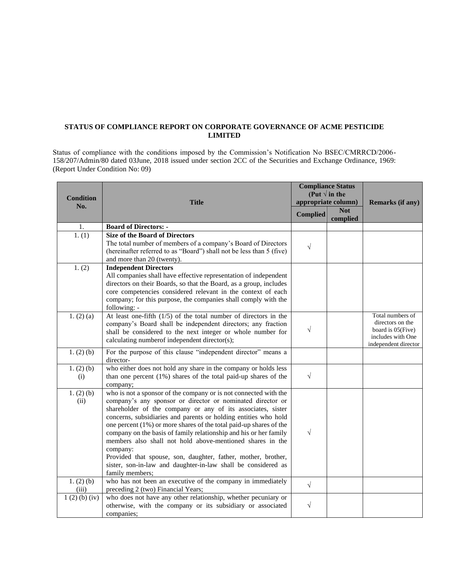# **STATUS OF COMPLIANCE REPORT ON CORPORATE GOVERNANCE OF ACME PESTICIDE LIMITED**

Status of compliance with the conditions imposed by the Commission's Notification No BSEC/CMRRCD/2006- 158/207/Admin/80 dated 03June, 2018 issued under section 2CC of the Securities and Exchange Ordinance, 1969: (Report Under Condition No: 09)

| <b>Condition</b><br>No. | <b>Title</b>                                                                                                                                                                                                                                                                                                                                                                                                                                                                                                                                                                                                                              | <b>Compliance Status</b><br>(Put $\sqrt{ }$ in the<br>appropriate column) |                        | <b>Remarks (if any)</b>                                                                                   |  |
|-------------------------|-------------------------------------------------------------------------------------------------------------------------------------------------------------------------------------------------------------------------------------------------------------------------------------------------------------------------------------------------------------------------------------------------------------------------------------------------------------------------------------------------------------------------------------------------------------------------------------------------------------------------------------------|---------------------------------------------------------------------------|------------------------|-----------------------------------------------------------------------------------------------------------|--|
|                         |                                                                                                                                                                                                                                                                                                                                                                                                                                                                                                                                                                                                                                           | <b>Complied</b>                                                           | <b>Not</b><br>complied |                                                                                                           |  |
| 1.                      | <b>Board of Directors: -</b>                                                                                                                                                                                                                                                                                                                                                                                                                                                                                                                                                                                                              |                                                                           |                        |                                                                                                           |  |
| 1. (1)                  | <b>Size of the Board of Directors</b><br>The total number of members of a company's Board of Directors<br>(hereinafter referred to as "Board") shall not be less than 5 (five)<br>and more than 20 (twenty).                                                                                                                                                                                                                                                                                                                                                                                                                              | $\sqrt{}$                                                                 |                        |                                                                                                           |  |
| 1. (2)                  | <b>Independent Directors</b><br>All companies shall have effective representation of independent<br>directors on their Boards, so that the Board, as a group, includes<br>core competencies considered relevant in the context of each<br>company; for this purpose, the companies shall comply with the<br>following: -                                                                                                                                                                                                                                                                                                                  |                                                                           |                        |                                                                                                           |  |
| 1. (2) (a)              | At least one-fifth $(1/5)$ of the total number of directors in the<br>company's Board shall be independent directors; any fraction<br>shall be considered to the next integer or whole number for<br>calculating numberof independent director(s);                                                                                                                                                                                                                                                                                                                                                                                        | $\sqrt{}$                                                                 |                        | Total numbers of<br>directors on the<br>board is $05$ (Five)<br>includes with One<br>independent director |  |
| 1. $(2)$ (b)            | For the purpose of this clause "independent director" means a<br>director-                                                                                                                                                                                                                                                                                                                                                                                                                                                                                                                                                                |                                                                           |                        |                                                                                                           |  |
| 1. $(2)$ (b)<br>(i)     | who either does not hold any share in the company or holds less<br>than one percent $(1%)$ shares of the total paid-up shares of the<br>company;                                                                                                                                                                                                                                                                                                                                                                                                                                                                                          | $\sqrt{ }$                                                                |                        |                                                                                                           |  |
| 1. $(2)$ (b)<br>(ii)    | who is not a sponsor of the company or is not connected with the<br>company's any sponsor or director or nominated director or<br>shareholder of the company or any of its associates, sister<br>concerns, subsidiaries and parents or holding entities who hold<br>one percent (1%) or more shares of the total paid-up shares of the<br>company on the basis of family relationship and his or her family<br>members also shall not hold above-mentioned shares in the<br>company:<br>Provided that spouse, son, daughter, father, mother, brother,<br>sister, son-in-law and daughter-in-law shall be considered as<br>family members; | $\sqrt{}$                                                                 |                        |                                                                                                           |  |
| 1. $(2)$ (b)<br>(iii)   | who has not been an executive of the company in immediately<br>preceding 2 (two) Financial Years;                                                                                                                                                                                                                                                                                                                                                                                                                                                                                                                                         | $\sqrt{ }$                                                                |                        |                                                                                                           |  |
| 1(2)(b)(iv)             | who does not have any other relationship, whether pecuniary or<br>otherwise, with the company or its subsidiary or associated<br>companies;                                                                                                                                                                                                                                                                                                                                                                                                                                                                                               | $\sqrt{}$                                                                 |                        |                                                                                                           |  |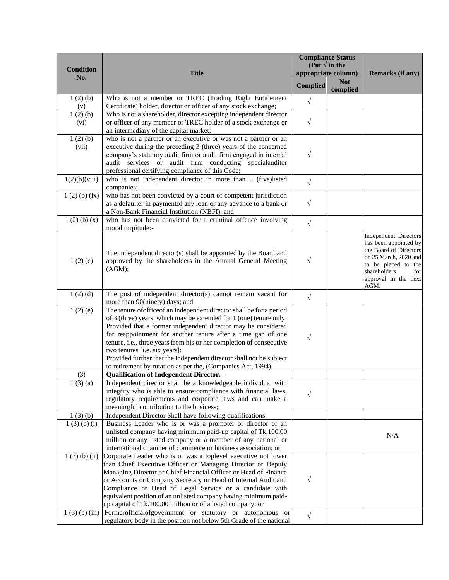| <b>Condition</b>            |                                                                                                                                                                                                                                                                                                                                                                                                                                                                                                                                                                                                                     |                 | <b>Compliance Status</b><br>(Put $\sqrt{ }$ in the |                                                                                                                                                                                        |
|-----------------------------|---------------------------------------------------------------------------------------------------------------------------------------------------------------------------------------------------------------------------------------------------------------------------------------------------------------------------------------------------------------------------------------------------------------------------------------------------------------------------------------------------------------------------------------------------------------------------------------------------------------------|-----------------|----------------------------------------------------|----------------------------------------------------------------------------------------------------------------------------------------------------------------------------------------|
| No.                         | <b>Title</b>                                                                                                                                                                                                                                                                                                                                                                                                                                                                                                                                                                                                        |                 | appropriate column)                                | <b>Remarks (if any)</b>                                                                                                                                                                |
|                             |                                                                                                                                                                                                                                                                                                                                                                                                                                                                                                                                                                                                                     | <b>Complied</b> | <b>Not</b><br>complied                             |                                                                                                                                                                                        |
| 1(2)(b)<br>(v)              | Who is not a member or TREC (Trading Right Entitlement<br>Certificate) holder, director or officer of any stock exchange;                                                                                                                                                                                                                                                                                                                                                                                                                                                                                           | $\sqrt{}$       |                                                    |                                                                                                                                                                                        |
| 1(2)(b)<br>(vi)             | Who is not a shareholder, director excepting independent director<br>or officer of any member or TREC holder of a stock exchange or<br>an intermediary of the capital market;                                                                                                                                                                                                                                                                                                                                                                                                                                       | $\sqrt{}$       |                                                    |                                                                                                                                                                                        |
| 1(2)(b)<br>(vii)            | who is not a partner or an executive or was not a partner or an<br>executive during the preceding 3 (three) years of the concerned<br>company's statutory audit firm or audit firm engaged in internal<br>audit services or audit firm conducting specialauditor<br>professional certifying compliance of this Code;                                                                                                                                                                                                                                                                                                | $\sqrt{}$       |                                                    |                                                                                                                                                                                        |
| 1(2)(b)(viii)               | who is not independent director in more than 5 (five)listed<br>companies;                                                                                                                                                                                                                                                                                                                                                                                                                                                                                                                                           | $\sqrt{}$       |                                                    |                                                                                                                                                                                        |
| $\overline{1}$ (2) (b) (ix) | who has not been convicted by a court of competent jurisdiction<br>as a defaulter in paymentof any loan or any advance to a bank or<br>a Non-Bank Financial Institution (NBFI); and                                                                                                                                                                                                                                                                                                                                                                                                                                 | $\sqrt{}$       |                                                    |                                                                                                                                                                                        |
| 1(2)(b)(x)                  | who has not been convicted for a criminal offence involving<br>moral turpitude:-                                                                                                                                                                                                                                                                                                                                                                                                                                                                                                                                    | $\sqrt{}$       |                                                    |                                                                                                                                                                                        |
| 1(2)(c)                     | The independent director(s) shall be appointed by the Board and<br>approved by the shareholders in the Annual General Meeting<br>(AGM);                                                                                                                                                                                                                                                                                                                                                                                                                                                                             | $\sqrt{}$       |                                                    | <b>Independent Directors</b><br>has been appointed by<br>the Board of Directors<br>on 25 March, 2020 and<br>to be placed to the<br>shareholders<br>for<br>approval in the next<br>AGM. |
| 1(2)(d)                     | The post of independent director(s) cannot remain vacant for<br>more than 90(ninety) days; and                                                                                                                                                                                                                                                                                                                                                                                                                                                                                                                      | $\sqrt{}$       |                                                    |                                                                                                                                                                                        |
| 1(2)(e)                     | The tenure of office of an independent director shall be for a period<br>of 3 (three) years, which may be extended for 1 (one) tenure only:<br>Provided that a former independent director may be considered<br>for reappointment for another tenure after a time gap of one<br>tenure, i.e., three years from his or her completion of consecutive<br>two tenures [i.e. six years]:<br>Provided further that the independent director shall not be subject<br>to retirement by rotation as per the, (Companies Act, 1994).                                                                                         | $\sqrt{}$       |                                                    |                                                                                                                                                                                        |
| (3)                         | <b>Qualification of Independent Director. -</b>                                                                                                                                                                                                                                                                                                                                                                                                                                                                                                                                                                     |                 |                                                    |                                                                                                                                                                                        |
| 1(3)(a)                     | Independent director shall be a knowledgeable individual with<br>integrity who is able to ensure compliance with financial laws,<br>regulatory requirements and corporate laws and can make a<br>meaningful contribution to the business;                                                                                                                                                                                                                                                                                                                                                                           | $\sqrt{}$       |                                                    |                                                                                                                                                                                        |
| 1(3)(b)                     | Independent Director Shall have following qualifications:                                                                                                                                                                                                                                                                                                                                                                                                                                                                                                                                                           |                 |                                                    |                                                                                                                                                                                        |
| 1(3)(b)(i)                  | Business Leader who is or was a promoter or director of an<br>unlisted company having minimum paid-up capital of Tk.100.00<br>million or any listed company or a member of any national or<br>international chamber of commerce or business association; or                                                                                                                                                                                                                                                                                                                                                         |                 |                                                    | N/A                                                                                                                                                                                    |
| $1(3)$ (b) (ii)             | Corporate Leader who is or was a toplevel executive not lower<br>than Chief Executive Officer or Managing Director or Deputy<br>Managing Director or Chief Financial Officer or Head of Finance<br>or Accounts or Company Secretary or Head of Internal Audit and<br>Compliance or Head of Legal Service or a candidate with<br>equivalent position of an unlisted company having minimum paid-<br>up capital of Tk.100.00 million or of a listed company; or<br>$1(3)$ (b) (iii) Formerofficial of government or statutory or autonomous or<br>regulatory body in the position not below 5th Grade of the national | V<br>$\sqrt{}$  |                                                    |                                                                                                                                                                                        |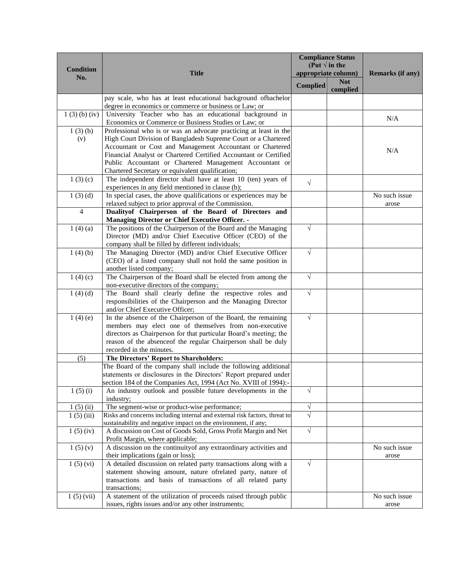|                  |                                                                                                  | <b>Compliance Status</b><br>(Put $\sqrt{ }$ in the |                     |                         |
|------------------|--------------------------------------------------------------------------------------------------|----------------------------------------------------|---------------------|-------------------------|
| <b>Condition</b> | <b>Title</b>                                                                                     |                                                    | appropriate column) | <b>Remarks (if any)</b> |
| No.              |                                                                                                  |                                                    | <b>Not</b>          |                         |
|                  |                                                                                                  | <b>Complied</b>                                    | complied            |                         |
|                  | pay scale, who has at least educational background ofbachelor                                    |                                                    |                     |                         |
|                  | degree in economics or commerce or business or Law; or                                           |                                                    |                     |                         |
| 1(3)(b)(iv)      | University Teacher who has an educational background in                                          |                                                    |                     |                         |
|                  | Economics or Commerce or Business Studies or Law; or                                             |                                                    |                     | N/A                     |
| 1(3)(b)          | Professional who is or was an advocate practicing at least in the                                |                                                    |                     |                         |
| (v)              | High Court Division of Bangladesh Supreme Court or a Chartered                                   |                                                    |                     |                         |
|                  | Accountant or Cost and Management Accountant or Chartered                                        |                                                    |                     | N/A                     |
|                  | Financial Analyst or Chartered Certified Accountant or Certified                                 |                                                    |                     |                         |
|                  | Public Accountant or Chartered Management Accountant or                                          |                                                    |                     |                         |
|                  | Chartered Secretary or equivalent qualification;                                                 |                                                    |                     |                         |
| 1(3)(c)          | The independent director shall have at least 10 (ten) years of                                   | $\sqrt{}$                                          |                     |                         |
|                  | experiences in any field mentioned in clause (b);                                                |                                                    |                     |                         |
| 1(3)(d)          | In special cases, the above qualifications or experiences may be                                 |                                                    |                     | No such issue           |
|                  | relaxed subject to prior approval of the Commission.                                             |                                                    |                     | arose                   |
| $\overline{4}$   | Duality of Chairperson of the Board of Directors and                                             |                                                    |                     |                         |
|                  | <b>Managing Director or Chief Executive Officer. -</b>                                           |                                                    |                     |                         |
| 1(4)(a)          | The positions of the Chairperson of the Board and the Managing                                   | $\sqrt{}$                                          |                     |                         |
|                  | Director (MD) and/or Chief Executive Officer (CEO) of the                                        |                                                    |                     |                         |
|                  | company shall be filled by different individuals;                                                |                                                    |                     |                         |
| 1(4)(b)          | The Managing Director (MD) and/or Chief Executive Officer                                        | $\sqrt{}$                                          |                     |                         |
|                  | (CEO) of a listed company shall not hold the same position in                                    |                                                    |                     |                         |
|                  | another listed company;                                                                          |                                                    |                     |                         |
| 1(4)(c)          | The Chairperson of the Board shall be elected from among the                                     | $\sqrt{}$                                          |                     |                         |
|                  | non-executive directors of the company;                                                          | $\sqrt{}$                                          |                     |                         |
| 1(4)(d)          | The Board shall clearly define the respective roles and                                          |                                                    |                     |                         |
|                  | responsibilities of the Chairperson and the Managing Director<br>and/or Chief Executive Officer; |                                                    |                     |                         |
| 1(4)(e)          | In the absence of the Chairperson of the Board, the remaining                                    | $\sqrt{}$                                          |                     |                         |
|                  | members may elect one of themselves from non-executive                                           |                                                    |                     |                         |
|                  | directors as Chairperson for that particular Board's meeting; the                                |                                                    |                     |                         |
|                  | reason of the absenceof the regular Chairperson shall be duly                                    |                                                    |                     |                         |
|                  | recorded in the minutes.                                                                         |                                                    |                     |                         |
| (5)              | The Directors' Report to Shareholders:                                                           |                                                    |                     |                         |
|                  | The Board of the company shall include the following additional                                  |                                                    |                     |                         |
|                  | statements or disclosures in the Directors' Report prepared under                                |                                                    |                     |                         |
|                  | section 184 of the Companies Act, 1994 (Act No. XVIII of 1994):-                                 |                                                    |                     |                         |
| 1(5)(i)          | An industry outlook and possible future developments in the                                      | $\sqrt{}$                                          |                     |                         |
|                  | industry;                                                                                        |                                                    |                     |                         |
| 1(5)(ii)         | The segment-wise or product-wise performance;                                                    | $\sqrt{}$                                          |                     |                         |
| 1(5)(iii)        | Risks and concerns including internal and external risk factors, threat to                       | $\sqrt{}$                                          |                     |                         |
|                  | sustainability and negative impact on the environment, if any;                                   |                                                    |                     |                         |
| 1(5)(iv)         | A discussion on Cost of Goods Sold, Gross Profit Margin and Net                                  | $\sqrt{}$                                          |                     |                         |
|                  | Profit Margin, where applicable;                                                                 |                                                    |                     |                         |
| 1(5)(v)          | A discussion on the continuity of any extraordinary activities and                               |                                                    |                     | No such issue           |
|                  | their implications (gain or loss);                                                               |                                                    |                     | arose                   |
| 1(5)(vi)         | A detailed discussion on related party transactions along with a                                 | $\sqrt{}$                                          |                     |                         |
|                  | statement showing amount, nature ofrelated party, nature of                                      |                                                    |                     |                         |
|                  | transactions and basis of transactions of all related party                                      |                                                    |                     |                         |
| 1(5)(vii)        | transactions;<br>A statement of the utilization of proceeds raised through public                |                                                    |                     | No such issue           |
|                  | issues, rights issues and/or any other instruments;                                              |                                                    |                     | arose                   |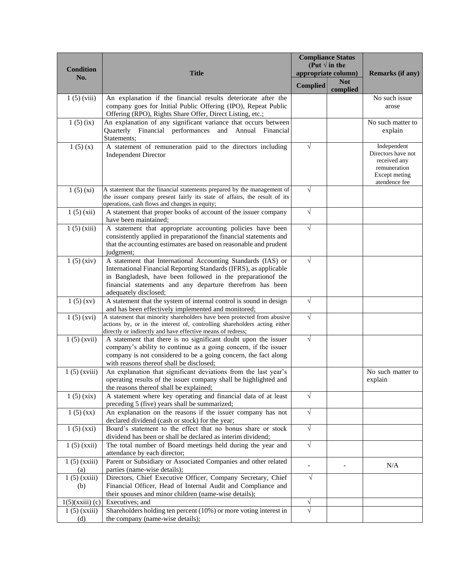|                       |                                                                                                                                                      |                 | <b>Compliance Status</b><br>(Put $\sqrt{}$ in the |                                                                   |
|-----------------------|------------------------------------------------------------------------------------------------------------------------------------------------------|-----------------|---------------------------------------------------|-------------------------------------------------------------------|
| <b>Condition</b>      | <b>Title</b>                                                                                                                                         |                 | appropriate column)                               | Remarks (if any)                                                  |
| No.                   |                                                                                                                                                      | <b>Complied</b> | <b>Not</b>                                        |                                                                   |
|                       |                                                                                                                                                      |                 | complied                                          |                                                                   |
| $1(5)$ (viii)         | An explanation if the financial results deteriorate after the                                                                                        |                 |                                                   | No such issue                                                     |
|                       | company goes for Initial Public Offering (IPO), Repeat Public<br>Offering (RPO), Rights Share Offer, Direct Listing, etc.;                           |                 |                                                   | arose                                                             |
| 1(5)(ix)              | An explanation of any significant variance that occurs between                                                                                       |                 |                                                   | No such matter to                                                 |
|                       | Quarterly Financial performances and Annual Financial                                                                                                |                 |                                                   | explain                                                           |
|                       | Statements;                                                                                                                                          |                 |                                                   |                                                                   |
| 1(5)(x)               | A statement of remuneration paid to the directors including<br><b>Independent Director</b>                                                           | $\sqrt{}$       |                                                   | Independent<br>Directors have not<br>received any<br>remuneration |
|                       |                                                                                                                                                      |                 |                                                   | Except meting<br>atendence fee                                    |
| 1(5)(xi)              | A statement that the financial statements prepared by the management of                                                                              | $\sqrt{}$       |                                                   |                                                                   |
|                       | the issuer company present fairly its state of affairs, the result of its                                                                            |                 |                                                   |                                                                   |
| 1(5)(xii)             | operations, cash flows and changes in equity;<br>A statement that proper books of account of the issuer company                                      | $\sqrt{}$       |                                                   |                                                                   |
|                       | have been maintained:                                                                                                                                |                 |                                                   |                                                                   |
| 1(5)(xiii)            | A statement that appropriate accounting policies have been                                                                                           | $\sqrt{}$       |                                                   |                                                                   |
|                       | consistently applied in preparation f the financial statements and                                                                                   |                 |                                                   |                                                                   |
|                       | that the accounting estimates are based on reasonable and prudent                                                                                    |                 |                                                   |                                                                   |
|                       | judgment;                                                                                                                                            |                 |                                                   |                                                                   |
| 1(5)(xiv)             | A statement that International Accounting Standards (IAS) or                                                                                         | $\sqrt{}$       |                                                   |                                                                   |
|                       | International Financial Reporting Standards (IFRS), as applicable<br>in Bangladesh, have been followed in the preparation of the                     |                 |                                                   |                                                                   |
|                       | financial statements and any departure therefrom has been                                                                                            |                 |                                                   |                                                                   |
|                       | adequately disclosed;                                                                                                                                |                 |                                                   |                                                                   |
| 1(5)(xy)              | A statement that the system of internal control is sound in design                                                                                   | $\sqrt{ }$      |                                                   |                                                                   |
|                       | and has been effectively implemented and monitored;                                                                                                  |                 |                                                   |                                                                   |
| 1(5)(xvi)             | A statement that minority shareholders have been protected from abusive<br>actions by, or in the interest of, controlling shareholders acting either | $\sqrt{}$       |                                                   |                                                                   |
|                       | directly or indirectly and have effective means of redress;                                                                                          |                 |                                                   |                                                                   |
| $1(5)$ (xvii)         | A statement that there is no significant doubt upon the issuer                                                                                       | $\sqrt{}$       |                                                   |                                                                   |
|                       | company's ability to continue as a going concern, if the issuer                                                                                      |                 |                                                   |                                                                   |
|                       | company is not considered to be a going concern, the fact along                                                                                      |                 |                                                   |                                                                   |
| $1(5)$ (xviii)        | with reasons thereof shall be disclosed;<br>An explanation that significant deviations from the last year's                                          |                 |                                                   | No such matter to                                                 |
|                       | operating results of the issuer company shall be highlighted and<br>the reasons thereof shall be explained;                                          |                 |                                                   | explain                                                           |
| 1(5)(xix)             | A statement where key operating and financial data of at least                                                                                       | $\sqrt{}$       |                                                   |                                                                   |
|                       | preceding 5 (five) years shall be summarized;                                                                                                        |                 |                                                   |                                                                   |
| 1(5)(xx)              | An explanation on the reasons if the issuer company has not<br>declared dividend (cash or stock) for the year;                                       | $\sqrt{}$       |                                                   |                                                                   |
| 1(5)(xxi)             | Board's statement to the effect that no bonus share or stock                                                                                         | $\sqrt{}$       |                                                   |                                                                   |
|                       | dividend has been or shall be declared as interim dividend;                                                                                          |                 |                                                   |                                                                   |
| $1(5)$ (xxii)         | The total number of Board meetings held during the year and                                                                                          | $\sqrt{ }$      |                                                   |                                                                   |
| $1(5)$ (xxiii)        | attendance by each director;<br>Parent or Subsidiary or Associated Companies and other related                                                       |                 |                                                   |                                                                   |
| (a)                   | parties (name-wise details);                                                                                                                         |                 |                                                   | N/A                                                               |
| $1(5)$ (xxiii)        | Directors, Chief Executive Officer, Company Secretary, Chief                                                                                         | $\sqrt{}$       |                                                   |                                                                   |
| (b)                   | Financial Officer, Head of Internal Audit and Compliance and                                                                                         |                 |                                                   |                                                                   |
|                       | their spouses and minor children (name-wise details);                                                                                                |                 |                                                   |                                                                   |
| $1(5)(xxiii)$ (c)     | Executives; and                                                                                                                                      | $\sqrt{}$       |                                                   |                                                                   |
| $1(5)$ (xxiii)<br>(d) | Shareholders holding ten percent (10%) or more voting interest in<br>the company (name-wise details);                                                |                 |                                                   |                                                                   |
|                       |                                                                                                                                                      |                 |                                                   |                                                                   |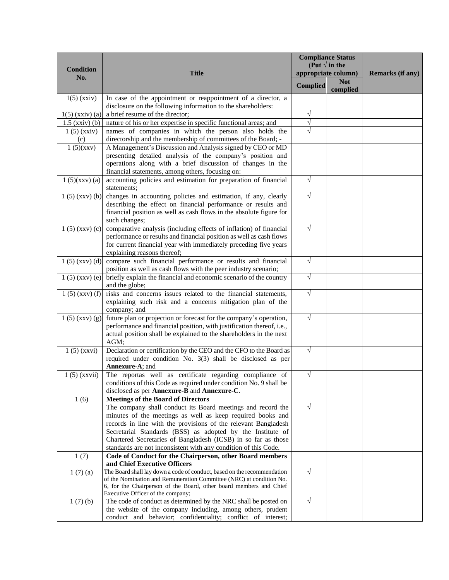|                                   |                                                                                                                                             | <b>Compliance Status</b><br>(Put $\sqrt{ }$ in the |            |                  |
|-----------------------------------|---------------------------------------------------------------------------------------------------------------------------------------------|----------------------------------------------------|------------|------------------|
| <b>Condition</b>                  | <b>Title</b>                                                                                                                                | appropriate column)                                |            | Remarks (if any) |
| No.                               |                                                                                                                                             | <b>Complied</b>                                    | <b>Not</b> |                  |
|                                   |                                                                                                                                             |                                                    | complied   |                  |
| $1(5)$ (xxiv)                     | In case of the appointment or reappointment of a director, a                                                                                |                                                    |            |                  |
|                                   | disclosure on the following information to the shareholders:                                                                                |                                                    |            |                  |
| $1(5)$ (xxiv) (a)                 | a brief resume of the director;                                                                                                             | $\sqrt{}$<br>$\sqrt{}$                             |            |                  |
| $1.5$ (xxiv) (b)<br>$1(5)$ (xxiv) | nature of his or her expertise in specific functional areas; and<br>names of companies in which the person also holds the                   | $\sqrt{}$                                          |            |                  |
| (c)                               | directorship and the membership of committees of the Board; -                                                                               |                                                    |            |                  |
| 1(5)(xxv)                         | A Management's Discussion and Analysis signed by CEO or MD                                                                                  |                                                    |            |                  |
|                                   | presenting detailed analysis of the company's position and                                                                                  |                                                    |            |                  |
|                                   | operations along with a brief discussion of changes in the                                                                                  |                                                    |            |                  |
|                                   | financial statements, among others, focusing on:                                                                                            |                                                    |            |                  |
| 1(5)(xxx)(a)                      | accounting policies and estimation for preparation of financial                                                                             | $\sqrt{}$                                          |            |                  |
|                                   | statements;                                                                                                                                 |                                                    |            |                  |
|                                   | $1(5)$ (xxv) (b) changes in accounting policies and estimation, if any, clearly                                                             | $\sqrt{}$                                          |            |                  |
|                                   | describing the effect on financial performance or results and                                                                               |                                                    |            |                  |
|                                   | financial position as well as cash flows in the absolute figure for                                                                         |                                                    |            |                  |
|                                   | such changes;                                                                                                                               |                                                    |            |                  |
| $1(5)$ (xxv) (c)                  | comparative analysis (including effects of inflation) of financial                                                                          | $\sqrt{}$                                          |            |                  |
|                                   | performance or results and financial position as well as cash flows<br>for current financial year with immediately preceding five years     |                                                    |            |                  |
|                                   | explaining reasons thereof;                                                                                                                 |                                                    |            |                  |
| $1(5)$ (xxv) (d)                  | compare such financial performance or results and financial                                                                                 | $\sqrt{ }$                                         |            |                  |
|                                   | position as well as cash flows with the peer industry scenario;                                                                             |                                                    |            |                  |
| $1(5)$ (xxv) (e)                  | briefly explain the financial and economic scenario of the country                                                                          | $\sqrt{}$                                          |            |                  |
|                                   | and the globe;                                                                                                                              |                                                    |            |                  |
| $1(5)$ (xxv) (f)                  | risks and concerns issues related to the financial statements,                                                                              | $\sqrt{}$                                          |            |                  |
|                                   | explaining such risk and a concerns mitigation plan of the                                                                                  |                                                    |            |                  |
|                                   | company; and                                                                                                                                |                                                    |            |                  |
| 1(5)(xxv)(g)                      | future plan or projection or forecast for the company's operation,                                                                          | $\sqrt{}$                                          |            |                  |
|                                   | performance and financial position, with justification thereof, i.e.,<br>actual position shall be explained to the shareholders in the next |                                                    |            |                  |
|                                   | AGM;                                                                                                                                        |                                                    |            |                  |
| $1(5)$ (xxvi)                     | Declaration or certification by the CEO and the CFO to the Board as                                                                         | $\sqrt{}$                                          |            |                  |
|                                   | required under condition No. 3(3) shall be disclosed as per                                                                                 |                                                    |            |                  |
|                                   | Annexure-A; and                                                                                                                             |                                                    |            |                  |
| $1(5)$ (xxvii)                    | The reportas well as certificate regarding compliance of                                                                                    | $\sqrt{}$                                          |            |                  |
|                                   | conditions of this Code as required under condition No. 9 shall be                                                                          |                                                    |            |                  |
|                                   | disclosed as per Annexure-B and Annexure-C.                                                                                                 |                                                    |            |                  |
| 1(6)                              | <b>Meetings of the Board of Directors</b>                                                                                                   |                                                    |            |                  |
|                                   | The company shall conduct its Board meetings and record the                                                                                 | $\sqrt{ }$                                         |            |                  |
|                                   | minutes of the meetings as well as keep required books and                                                                                  |                                                    |            |                  |
|                                   | records in line with the provisions of the relevant Bangladesh<br>Secretarial Standards (BSS) as adopted by the Institute of                |                                                    |            |                  |
|                                   | Chartered Secretaries of Bangladesh (ICSB) in so far as those                                                                               |                                                    |            |                  |
|                                   | standards are not inconsistent with any condition of this Code.                                                                             |                                                    |            |                  |
| 1(7)                              | Code of Conduct for the Chairperson, other Board members                                                                                    |                                                    |            |                  |
|                                   | and Chief Executive Officers                                                                                                                |                                                    |            |                  |
| 1(7)(a)                           | The Board shall lay down a code of conduct, based on the recommendation                                                                     | $\sqrt{ }$                                         |            |                  |
|                                   | of the Nomination and Remuneration Committee (NRC) at condition No.                                                                         |                                                    |            |                  |
|                                   | 6, for the Chairperson of the Board, other board members and Chief<br>Executive Officer of the company;                                     |                                                    |            |                  |
| 1(7)(b)                           | The code of conduct as determined by the NRC shall be posted on                                                                             | $\sqrt{ }$                                         |            |                  |
|                                   | the website of the company including, among others, prudent                                                                                 |                                                    |            |                  |
|                                   | conduct and behavior; confidentiality; conflict of interest;                                                                                |                                                    |            |                  |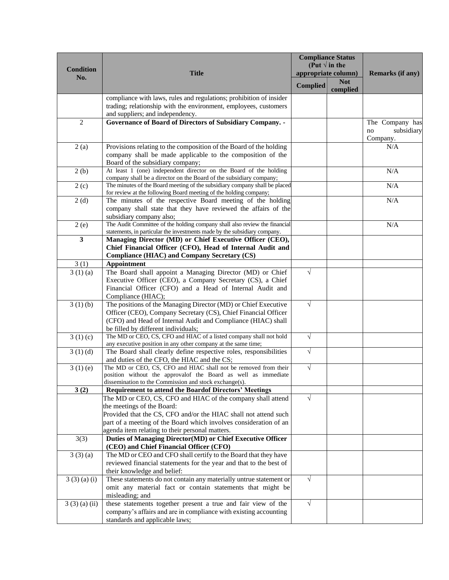|                        |                                                                                                                                                         |                     | <b>Compliance Status</b> |                                     |
|------------------------|---------------------------------------------------------------------------------------------------------------------------------------------------------|---------------------|--------------------------|-------------------------------------|
| <b>Condition</b>       |                                                                                                                                                         |                     | (Put $\sqrt{ }$ in the   |                                     |
| No.                    | <b>Title</b>                                                                                                                                            | appropriate column) |                          | <b>Remarks (if any)</b>             |
|                        |                                                                                                                                                         | <b>Complied</b>     | <b>Not</b><br>complied   |                                     |
|                        | compliance with laws, rules and regulations; prohibition of insider                                                                                     |                     |                          |                                     |
|                        | trading; relationship with the environment, employees, customers                                                                                        |                     |                          |                                     |
| $\overline{2}$         | and suppliers; and independency.<br>Governance of Board of Directors of Subsidiary Company. -                                                           |                     |                          |                                     |
|                        |                                                                                                                                                         |                     |                          | The Company has<br>subsidiary<br>no |
|                        |                                                                                                                                                         |                     |                          | Company.                            |
| 2(a)                   | Provisions relating to the composition of the Board of the holding                                                                                      |                     |                          | N/A                                 |
|                        | company shall be made applicable to the composition of the                                                                                              |                     |                          |                                     |
|                        | Board of the subsidiary company;                                                                                                                        |                     |                          |                                     |
| 2(b)                   | At least 1 (one) independent director on the Board of the holding<br>company shall be a director on the Board of the subsidiary company;                |                     |                          | N/A                                 |
| 2(c)                   | The minutes of the Board meeting of the subsidiary company shall be placed                                                                              |                     |                          | N/A                                 |
|                        | for review at the following Board meeting of the holding company;                                                                                       |                     |                          |                                     |
| 2(d)                   | The minutes of the respective Board meeting of the holding                                                                                              |                     |                          | N/A                                 |
|                        | company shall state that they have reviewed the affairs of the                                                                                          |                     |                          |                                     |
|                        | subsidiary company also;                                                                                                                                |                     |                          |                                     |
| 2(e)                   | The Audit Committee of the holding company shall also review the financial<br>statements, in particular the investments made by the subsidiary company. |                     |                          | N/A                                 |
| $\mathbf{3}$           | Managing Director (MD) or Chief Executive Officer (CEO),                                                                                                |                     |                          |                                     |
|                        | Chief Financial Officer (CFO), Head of Internal Audit and                                                                                               |                     |                          |                                     |
|                        | <b>Compliance (HIAC) and Company Secretary (CS)</b>                                                                                                     |                     |                          |                                     |
| 3(1)                   | <b>Appointment</b>                                                                                                                                      |                     |                          |                                     |
| $\overline{3}$ (1) (a) | The Board shall appoint a Managing Director (MD) or Chief                                                                                               | $\sqrt{}$           |                          |                                     |
|                        | Executive Officer (CEO), a Company Secretary (CS), a Chief                                                                                              |                     |                          |                                     |
|                        | Financial Officer (CFO) and a Head of Internal Audit and                                                                                                |                     |                          |                                     |
| 3(1)(b)                | Compliance (HIAC);<br>The positions of the Managing Director (MD) or Chief Executive                                                                    | $\sqrt{}$           |                          |                                     |
|                        | Officer (CEO), Company Secretary (CS), Chief Financial Officer                                                                                          |                     |                          |                                     |
|                        | (CFO) and Head of Internal Audit and Compliance (HIAC) shall                                                                                            |                     |                          |                                     |
|                        | be filled by different individuals;                                                                                                                     |                     |                          |                                     |
| 3(1)(c)                | The MD or CEO, CS, CFO and HIAC of a listed company shall not hold                                                                                      | $\sqrt{}$           |                          |                                     |
|                        | any executive position in any other company at the same time;                                                                                           |                     |                          |                                     |
| 3(1)(d)                | The Board shall clearly define respective roles, responsibilities                                                                                       | $\sqrt{}$           |                          |                                     |
| 3(1)(e)                | and duties of the CFO, the HIAC and the CS;<br>The MD or CEO, CS, CFO and HIAC shall not be removed from their                                          | $\sqrt{}$           |                          |                                     |
|                        | position without the approvalof the Board as well as immediate                                                                                          |                     |                          |                                     |
|                        | dissemination to the Commission and stock exchange(s).                                                                                                  |                     |                          |                                     |
| 3(2)                   | <b>Requirement to attend the Boardof Directors' Meetings</b>                                                                                            |                     |                          |                                     |
|                        | The MD or CEO, CS, CFO and HIAC of the company shall attend                                                                                             | √                   |                          |                                     |
|                        | the meetings of the Board:                                                                                                                              |                     |                          |                                     |
|                        | Provided that the CS, CFO and/or the HIAC shall not attend such<br>part of a meeting of the Board which involves consideration of an                    |                     |                          |                                     |
|                        | agenda item relating to their personal matters.                                                                                                         |                     |                          |                                     |
| 3(3)                   | Duties of Managing Director(MD) or Chief Executive Officer                                                                                              |                     |                          |                                     |
|                        | (CEO) and Chief Financial Officer (CFO)                                                                                                                 |                     |                          |                                     |
| 3(3)(a)                | The MD or CEO and CFO shall certify to the Board that they have                                                                                         |                     |                          |                                     |
|                        | reviewed financial statements for the year and that to the best of                                                                                      |                     |                          |                                     |
|                        | their knowledge and belief:                                                                                                                             |                     |                          |                                     |
| 3(3)(a)(i)             | These statements do not contain any materially untrue statement or                                                                                      | $\sqrt{}$           |                          |                                     |
|                        | omit any material fact or contain statements that might be                                                                                              |                     |                          |                                     |
| 3(3)(a)(ii)            | misleading; and<br>these statements together present a true and fair view of the                                                                        | $\sqrt{ }$          |                          |                                     |
|                        | company's affairs and are in compliance with existing accounting                                                                                        |                     |                          |                                     |
|                        | standards and applicable laws;                                                                                                                          |                     |                          |                                     |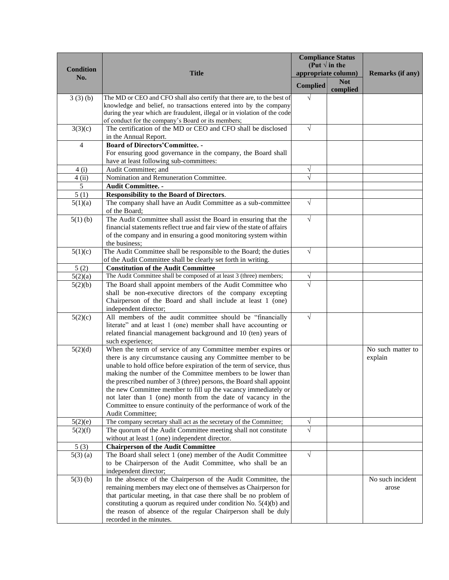|                  |                                                                                                                                        |                 | <b>Compliance Status</b>                      |                   |
|------------------|----------------------------------------------------------------------------------------------------------------------------------------|-----------------|-----------------------------------------------|-------------------|
| <b>Condition</b> | <b>Title</b>                                                                                                                           |                 | (Put $\sqrt{ }$ in the<br>appropriate column) | Remarks (if any)  |
| No.              |                                                                                                                                        |                 | <b>Not</b>                                    |                   |
|                  |                                                                                                                                        | <b>Complied</b> | complied                                      |                   |
| 3(3)(b)          | The MD or CEO and CFO shall also certify that there are, to the best of                                                                | $\sqrt{}$       |                                               |                   |
|                  | knowledge and belief, no transactions entered into by the company                                                                      |                 |                                               |                   |
|                  | during the year which are fraudulent, illegal or in violation of the code                                                              |                 |                                               |                   |
|                  | of conduct for the company's Board or its members;<br>The certification of the MD or CEO and CFO shall be disclosed                    | $\sqrt{ }$      |                                               |                   |
| 3(3)(c)          | in the Annual Report.                                                                                                                  |                 |                                               |                   |
| $\overline{4}$   | <b>Board of Directors' Committee. -</b>                                                                                                |                 |                                               |                   |
|                  | For ensuring good governance in the company, the Board shall                                                                           |                 |                                               |                   |
|                  | have at least following sub-committees:                                                                                                |                 |                                               |                   |
| 4(i)             | Audit Committee; and                                                                                                                   | $\sqrt{}$       |                                               |                   |
| 4(i)             | Nomination and Remuneration Committee.                                                                                                 |                 |                                               |                   |
| 5                | <b>Audit Committee. -</b>                                                                                                              |                 |                                               |                   |
| 5(1)             | Responsibility to the Board of Directors.                                                                                              |                 |                                               |                   |
| 5(1)(a)          | The company shall have an Audit Committee as a sub-committee                                                                           | $\sqrt{}$       |                                               |                   |
|                  | of the Board;                                                                                                                          |                 |                                               |                   |
| $5(1)$ (b)       | The Audit Committee shall assist the Board in ensuring that the                                                                        | $\sqrt{}$       |                                               |                   |
|                  | financial statements reflect true and fair view of the state of affairs                                                                |                 |                                               |                   |
|                  | of the company and in ensuring a good monitoring system within                                                                         |                 |                                               |                   |
|                  | the business;                                                                                                                          | $\sqrt{}$       |                                               |                   |
| 5(1)(c)          | The Audit Committee shall be responsible to the Board; the duties<br>of the Audit Committee shall be clearly set forth in writing.     |                 |                                               |                   |
| 5(2)             | <b>Constitution of the Audit Committee</b>                                                                                             |                 |                                               |                   |
| 5(2)(a)          | The Audit Committee shall be composed of at least 3 (three) members;                                                                   | $\sqrt{}$       |                                               |                   |
| 5(2)(b)          | The Board shall appoint members of the Audit Committee who                                                                             | $\sqrt{}$       |                                               |                   |
|                  | shall be non-executive directors of the company excepting                                                                              |                 |                                               |                   |
|                  | Chairperson of the Board and shall include at least 1 (one)                                                                            |                 |                                               |                   |
|                  | independent director;                                                                                                                  |                 |                                               |                   |
| 5(2)(c)          | All members of the audit committee should be "financially                                                                              | $\sqrt{}$       |                                               |                   |
|                  | literate" and at least 1 (one) member shall have accounting or                                                                         |                 |                                               |                   |
|                  | related financial management background and 10 (ten) years of                                                                          |                 |                                               |                   |
|                  | such experience;                                                                                                                       |                 |                                               |                   |
| 5(2)(d)          | When the term of service of any Committee member expires or                                                                            |                 |                                               | No such matter to |
|                  | there is any circumstance causing any Committee member to be                                                                           |                 |                                               | explain           |
|                  | unable to hold office before expiration of the term of service, thus<br>making the number of the Committee members to be lower than    |                 |                                               |                   |
|                  | the prescribed number of 3 (three) persons, the Board shall appoint                                                                    |                 |                                               |                   |
|                  | the new Committee member to fill up the vacancy immediately or                                                                         |                 |                                               |                   |
|                  | not later than 1 (one) month from the date of vacancy in the                                                                           |                 |                                               |                   |
|                  | Committee to ensure continuity of the performance of work of the                                                                       |                 |                                               |                   |
|                  | Audit Committee;                                                                                                                       |                 |                                               |                   |
| 5(2)(e)          | The company secretary shall act as the secretary of the Committee;                                                                     | V               |                                               |                   |
| 5(2)(f)          | The quorum of the Audit Committee meeting shall not constitute                                                                         | $\sqrt{}$       |                                               |                   |
|                  | without at least 1 (one) independent director.                                                                                         |                 |                                               |                   |
| 5(3)             | <b>Chairperson of the Audit Committee</b>                                                                                              |                 |                                               |                   |
| $5(3)$ (a)       | The Board shall select 1 (one) member of the Audit Committee                                                                           | $\sqrt{}$       |                                               |                   |
|                  | to be Chairperson of the Audit Committee, who shall be an                                                                              |                 |                                               |                   |
|                  | independent director;                                                                                                                  |                 |                                               |                   |
| $5(3)$ (b)       | In the absence of the Chairperson of the Audit Committee, the                                                                          |                 |                                               | No such incident  |
|                  | remaining members may elect one of themselves as Chairperson for<br>that particular meeting, in that case there shall be no problem of |                 |                                               | arose             |
|                  | constituting a quorum as required under condition No. $5(4)(b)$ and                                                                    |                 |                                               |                   |
|                  | the reason of absence of the regular Chairperson shall be duly                                                                         |                 |                                               |                   |
|                  | recorded in the minutes.                                                                                                               |                 |                                               |                   |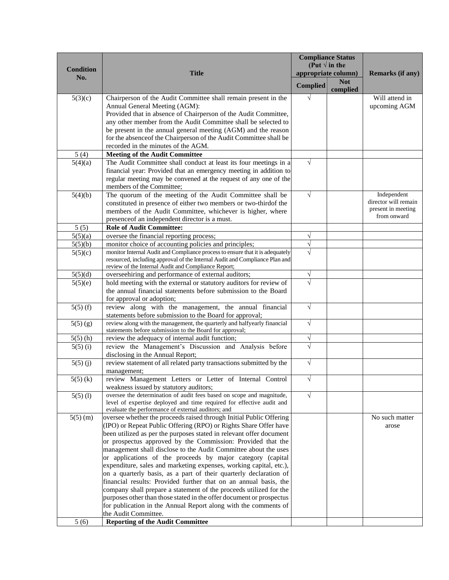|                  |                                                                                                                                                              | <b>Compliance Status</b><br>(Put $\sqrt{}$ in the |                     |                      |
|------------------|--------------------------------------------------------------------------------------------------------------------------------------------------------------|---------------------------------------------------|---------------------|----------------------|
| <b>Condition</b> | <b>Title</b>                                                                                                                                                 |                                                   | appropriate column) | Remarks (if any)     |
| No.              |                                                                                                                                                              |                                                   | <b>Not</b>          |                      |
|                  |                                                                                                                                                              | <b>Complied</b>                                   | complied            |                      |
| 5(3)(c)          | Chairperson of the Audit Committee shall remain present in the                                                                                               | $\sqrt{}$                                         |                     | Will attend in       |
|                  | Annual General Meeting (AGM):                                                                                                                                |                                                   |                     | upcoming AGM         |
|                  | Provided that in absence of Chairperson of the Audit Committee,                                                                                              |                                                   |                     |                      |
|                  | any other member from the Audit Committee shall be selected to                                                                                               |                                                   |                     |                      |
|                  | be present in the annual general meeting (AGM) and the reason                                                                                                |                                                   |                     |                      |
|                  | for the absence f the Chairperson of the Audit Committee shall be<br>recorded in the minutes of the AGM.                                                     |                                                   |                     |                      |
| 5(4)             | <b>Meeting of the Audit Committee</b>                                                                                                                        |                                                   |                     |                      |
| 5(4)(a)          | The Audit Committee shall conduct at least its four meetings in a                                                                                            | $\sqrt{}$                                         |                     |                      |
|                  | financial year: Provided that an emergency meeting in addition to                                                                                            |                                                   |                     |                      |
|                  | regular meeting may be convened at the request of any one of the                                                                                             |                                                   |                     |                      |
|                  | members of the Committee;                                                                                                                                    |                                                   |                     |                      |
| 5(4)(b)          | The quorum of the meeting of the Audit Committee shall be                                                                                                    | $\sqrt{}$                                         |                     | Independent          |
|                  | constituted in presence of either two members or two-thirdof the                                                                                             |                                                   |                     | director will remain |
|                  | members of the Audit Committee, whichever is higher, where                                                                                                   |                                                   |                     | present in meeting   |
|                  | presence of an independent director is a must.                                                                                                               |                                                   |                     | from onward          |
| 5(5)             | <b>Role of Audit Committee:</b>                                                                                                                              |                                                   |                     |                      |
| 5(5)(a)          | oversee the financial reporting process;                                                                                                                     | $\sqrt{}$                                         |                     |                      |
| 5(5)(b)          | monitor choice of accounting policies and principles;                                                                                                        | $\sqrt{}$                                         |                     |                      |
| 5(5)(c)          | monitor Internal Audit and Compliance process to ensure that it is adequately<br>resourced, including approval of the Internal Audit and Compliance Plan and | $\sqrt{}$                                         |                     |                      |
|                  | review of the Internal Audit and Compliance Report;                                                                                                          |                                                   |                     |                      |
| 5(5)(d)          | overseehiring and performance of external auditors;                                                                                                          | $\sqrt{}$                                         |                     |                      |
| 5(5)(e)          | hold meeting with the external or statutory auditors for review of                                                                                           |                                                   |                     |                      |
|                  | the annual financial statements before submission to the Board                                                                                               |                                                   |                     |                      |
|                  | for approval or adoption;                                                                                                                                    |                                                   |                     |                      |
| $5(5)$ (f)       | review along with the management, the annual financial                                                                                                       | $\sqrt{}$                                         |                     |                      |
|                  | statements before submission to the Board for approval;                                                                                                      |                                                   |                     |                      |
| $5(5)$ (g)       | review along with the management, the quarterly and halfyearly financial<br>statements before submission to the Board for approval;                          | $\sqrt{}$                                         |                     |                      |
| $5(5)$ (h)       | review the adequacy of internal audit function;                                                                                                              | $\sqrt{}$                                         |                     |                      |
| $5(5)$ (i)       | review the Management's Discussion and Analysis before                                                                                                       |                                                   |                     |                      |
|                  | disclosing in the Annual Report;                                                                                                                             |                                                   |                     |                      |
| $5(5)$ (j)       | review statement of all related party transactions submitted by the                                                                                          | $\sqrt{}$                                         |                     |                      |
|                  | management;                                                                                                                                                  |                                                   |                     |                      |
| $5(5)$ (k)       | review Management Letters or Letter of Internal Control                                                                                                      | $\sqrt{ }$                                        |                     |                      |
|                  | weakness issued by statutory auditors;                                                                                                                       |                                                   |                     |                      |
| $5(5)$ (l)       | oversee the determination of audit fees based on scope and magnitude,                                                                                        | $\sqrt{}$                                         |                     |                      |
|                  | level of expertise deployed and time required for effective audit and<br>evaluate the performance of external auditors; and                                  |                                                   |                     |                      |
| $5(5)$ (m)       | oversee whether the proceeds raised through Initial Public Offering                                                                                          |                                                   |                     | No such matter       |
|                  | (IPO) or Repeat Public Offering (RPO) or Rights Share Offer have                                                                                             |                                                   |                     | arose                |
|                  | been utilized as per the purposes stated in relevant offer document                                                                                          |                                                   |                     |                      |
|                  | or prospectus approved by the Commission: Provided that the                                                                                                  |                                                   |                     |                      |
|                  | management shall disclose to the Audit Committee about the uses                                                                                              |                                                   |                     |                      |
|                  | or applications of the proceeds by major category (capital                                                                                                   |                                                   |                     |                      |
|                  | expenditure, sales and marketing expenses, working capital, etc.),                                                                                           |                                                   |                     |                      |
|                  | on a quarterly basis, as a part of their quarterly declaration of                                                                                            |                                                   |                     |                      |
|                  | financial results: Provided further that on an annual basis, the                                                                                             |                                                   |                     |                      |
|                  | company shall prepare a statement of the proceeds utilized for the                                                                                           |                                                   |                     |                      |
|                  | purposes other than those stated in the offer document or prospectus<br>for publication in the Annual Report along with the comments of                      |                                                   |                     |                      |
|                  | the Audit Committee.                                                                                                                                         |                                                   |                     |                      |
| 5(6)             | <b>Reporting of the Audit Committee</b>                                                                                                                      |                                                   |                     |                      |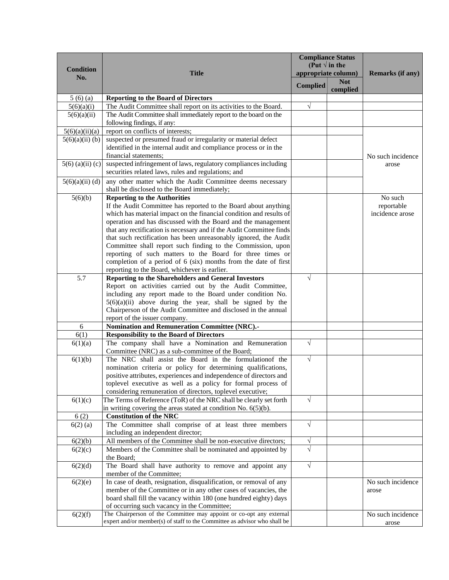| <b>Condition</b>   |                                                                                                                         |                 | <b>Compliance Status</b><br>(Put $\sqrt{ }$ in the |                         |
|--------------------|-------------------------------------------------------------------------------------------------------------------------|-----------------|----------------------------------------------------|-------------------------|
| No.                | <b>Title</b>                                                                                                            |                 | appropriate column)                                | <b>Remarks (if any)</b> |
|                    |                                                                                                                         | <b>Complied</b> | <b>Not</b><br>complied                             |                         |
| 5(6)(a)            | <b>Reporting to the Board of Directors</b>                                                                              |                 |                                                    |                         |
| 5(6)(a)(i)         | The Audit Committee shall report on its activities to the Board.                                                        | V               |                                                    |                         |
| 5(6)(a)(ii)        | The Audit Committee shall immediately report to the board on the                                                        |                 |                                                    |                         |
|                    | following findings, if any:                                                                                             |                 |                                                    |                         |
| 5(6)(a)(ii)(a)     | report on conflicts of interests;                                                                                       |                 |                                                    |                         |
| $5(6)(a)(ii)$ (b)  | suspected or presumed fraud or irregularity or material defect                                                          |                 |                                                    |                         |
|                    | identified in the internal audit and compliance process or in the                                                       |                 |                                                    |                         |
|                    | financial statements;                                                                                                   |                 |                                                    | No such incidence       |
| $5(6)$ (a)(ii) (c) | suspected infringement of laws, regulatory compliances including<br>securities related laws, rules and regulations; and |                 |                                                    | arose                   |
| $5(6)(a)(ii)$ (d)  | any other matter which the Audit Committee deems necessary                                                              |                 |                                                    |                         |
|                    | shall be disclosed to the Board immediately;                                                                            |                 |                                                    |                         |
| 5(6)(b)            | <b>Reporting to the Authorities</b>                                                                                     |                 |                                                    | No such                 |
|                    | If the Audit Committee has reported to the Board about anything                                                         |                 |                                                    | reportable              |
|                    | which has material impact on the financial condition and results of                                                     |                 |                                                    | incidence arose         |
|                    | operation and has discussed with the Board and the management                                                           |                 |                                                    |                         |
|                    | that any rectification is necessary and if the Audit Committee finds                                                    |                 |                                                    |                         |
|                    | that such rectification has been unreasonably ignored, the Audit                                                        |                 |                                                    |                         |
|                    | Committee shall report such finding to the Commission, upon                                                             |                 |                                                    |                         |
|                    | reporting of such matters to the Board for three times or                                                               |                 |                                                    |                         |
|                    | completion of a period of 6 (six) months from the date of first                                                         |                 |                                                    |                         |
| 5.7                | reporting to the Board, whichever is earlier.<br>Reporting to the Shareholders and General Investors                    | √               |                                                    |                         |
|                    | Report on activities carried out by the Audit Committee,                                                                |                 |                                                    |                         |
|                    | including any report made to the Board under condition No.                                                              |                 |                                                    |                         |
|                    | $5(6)(a)(ii)$ above during the year, shall be signed by the                                                             |                 |                                                    |                         |
|                    | Chairperson of the Audit Committee and disclosed in the annual                                                          |                 |                                                    |                         |
|                    | report of the issuer company.                                                                                           |                 |                                                    |                         |
| 6                  | <b>Nomination and Remuneration Committee (NRC).-</b>                                                                    |                 |                                                    |                         |
| 6(1)               | <b>Responsibility to the Board of Directors</b>                                                                         |                 |                                                    |                         |
| 6(1)(a)            | The company shall have a Nomination and Remuneration                                                                    | $\sqrt{}$       |                                                    |                         |
|                    | Committee (NRC) as a sub-committee of the Board;                                                                        |                 |                                                    |                         |
| 6(1)(b)            | The NRC shall assist the Board in the formulation of the                                                                | $\sqrt{}$       |                                                    |                         |
|                    | nomination criteria or policy for determining qualifications,                                                           |                 |                                                    |                         |
|                    | positive attributes, experiences and independence of directors and                                                      |                 |                                                    |                         |
|                    | toplevel executive as well as a policy for formal process of                                                            |                 |                                                    |                         |
|                    | considering remuneration of directors, toplevel executive;                                                              |                 |                                                    |                         |
| 6(1)(c)            | The Terms of Reference (ToR) of the NRC shall be clearly set forth                                                      | $\sqrt{}$       |                                                    |                         |
|                    | in writing covering the areas stated at condition No. 6(5)(b).                                                          |                 |                                                    |                         |
| 6(2)               | <b>Constitution of the NRC</b>                                                                                          |                 |                                                    |                         |
| $6(2)$ (a)         | The Committee shall comprise of at least three members                                                                  | $\sqrt{ }$      |                                                    |                         |
|                    | including an independent director;                                                                                      |                 |                                                    |                         |
| 6(2)(b)            | All members of the Committee shall be non-executive directors;                                                          | $\sqrt{}$       |                                                    |                         |
| 6(2)(c)            | Members of the Committee shall be nominated and appointed by                                                            | V               |                                                    |                         |
|                    | the Board;                                                                                                              |                 |                                                    |                         |
| 6(2)(d)            | The Board shall have authority to remove and appoint any                                                                | $\sqrt{}$       |                                                    |                         |
|                    | member of the Committee;                                                                                                |                 |                                                    |                         |
| 6(2)(e)            | In case of death, resignation, disqualification, or removal of any                                                      |                 |                                                    | No such incidence       |
|                    | member of the Committee or in any other cases of vacancies, the                                                         |                 |                                                    | arose                   |
|                    | board shall fill the vacancy within 180 (one hundred eighty) days                                                       |                 |                                                    |                         |
|                    | of occurring such vacancy in the Committee;<br>The Chairperson of the Committee may appoint or co-opt any external      |                 |                                                    | No such incidence       |
| 6(2)(f)            | expert and/or member(s) of staff to the Committee as advisor who shall be                                               |                 |                                                    | arose                   |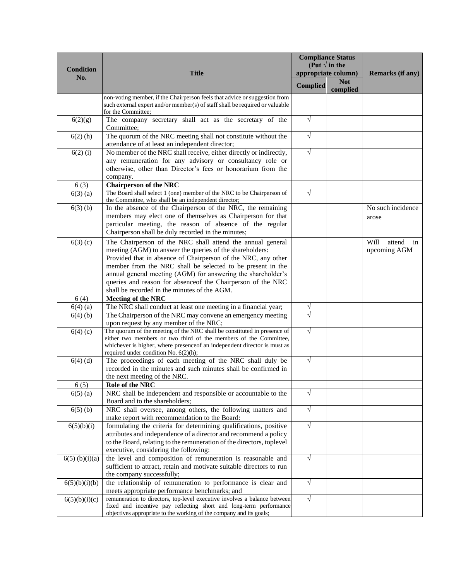|                  |                                                                                                                                                                                                                                                                                                                                                                                                                                      |                 | <b>Compliance Status</b><br>(Put $\sqrt{}$ in the |                                      |  |
|------------------|--------------------------------------------------------------------------------------------------------------------------------------------------------------------------------------------------------------------------------------------------------------------------------------------------------------------------------------------------------------------------------------------------------------------------------------|-----------------|---------------------------------------------------|--------------------------------------|--|
| <b>Condition</b> | <b>Title</b>                                                                                                                                                                                                                                                                                                                                                                                                                         |                 | appropriate column)                               | Remarks (if any)                     |  |
| No.              |                                                                                                                                                                                                                                                                                                                                                                                                                                      | <b>Complied</b> | <b>Not</b><br>complied                            |                                      |  |
|                  | non-voting member, if the Chairperson feels that advice or suggestion from<br>such external expert and/or member(s) of staff shall be required or valuable<br>for the Committee;                                                                                                                                                                                                                                                     |                 |                                                   |                                      |  |
| 6(2)(g)          | The company secretary shall act as the secretary of the<br>Committee;                                                                                                                                                                                                                                                                                                                                                                | $\sqrt{}$       |                                                   |                                      |  |
| $6(2)$ (h)       | The quorum of the NRC meeting shall not constitute without the<br>attendance of at least an independent director;                                                                                                                                                                                                                                                                                                                    | $\sqrt{}$       |                                                   |                                      |  |
| $6(2)$ (i)       | No member of the NRC shall receive, either directly or indirectly,<br>any remuneration for any advisory or consultancy role or<br>otherwise, other than Director's fees or honorarium from the<br>company.                                                                                                                                                                                                                           | $\sqrt{}$       |                                                   |                                      |  |
| 6(3)             | <b>Chairperson of the NRC</b>                                                                                                                                                                                                                                                                                                                                                                                                        |                 |                                                   |                                      |  |
| $6(3)$ (a)       | The Board shall select 1 (one) member of the NRC to be Chairperson of<br>the Committee, who shall be an independent director;                                                                                                                                                                                                                                                                                                        | $\sqrt{}$       |                                                   |                                      |  |
| $6(3)$ (b)       | In the absence of the Chairperson of the NRC, the remaining<br>members may elect one of themselves as Chairperson for that<br>particular meeting, the reason of absence of the regular<br>Chairperson shall be duly recorded in the minutes;                                                                                                                                                                                         |                 |                                                   | No such incidence<br>arose           |  |
| $6(3)$ (c)       | The Chairperson of the NRC shall attend the annual general<br>meeting (AGM) to answer the queries of the shareholders:<br>Provided that in absence of Chairperson of the NRC, any other<br>member from the NRC shall be selected to be present in the<br>annual general meeting (AGM) for answering the shareholder's<br>queries and reason for absenceof the Chairperson of the NRC<br>shall be recorded in the minutes of the AGM. |                 |                                                   | Will<br>attend<br>in<br>upcoming AGM |  |
| 6(4)             | <b>Meeting of the NRC</b>                                                                                                                                                                                                                                                                                                                                                                                                            |                 |                                                   |                                      |  |
| $6(4)$ (a)       |                                                                                                                                                                                                                                                                                                                                                                                                                                      |                 |                                                   |                                      |  |
| $6(4)$ (b)       | The NRC shall conduct at least one meeting in a financial year;<br>The Chairperson of the NRC may convene an emergency meeting                                                                                                                                                                                                                                                                                                       | V<br>$\sqrt{}$  |                                                   |                                      |  |
|                  | upon request by any member of the NRC;                                                                                                                                                                                                                                                                                                                                                                                               |                 |                                                   |                                      |  |
| 6(4)(c)          | The quorum of the meeting of the NRC shall be constituted in presence of<br>either two members or two third of the members of the Committee,<br>whichever is higher, where presence f an independent director is must as<br>required under condition No. 6(2)(h);                                                                                                                                                                    | $\sqrt{}$       |                                                   |                                      |  |
| $6(4)$ (d)       | The proceedings of each meeting of the NRC shall duly be<br>recorded in the minutes and such minutes shall be confirmed in<br>the next meeting of the NRC.                                                                                                                                                                                                                                                                           | $\sqrt{}$       |                                                   |                                      |  |
| 6(5)             | Role of the NRC                                                                                                                                                                                                                                                                                                                                                                                                                      |                 |                                                   |                                      |  |
| $6(5)$ (a)       | NRC shall be independent and responsible or accountable to the<br>Board and to the shareholders;                                                                                                                                                                                                                                                                                                                                     | $\sqrt{}$       |                                                   |                                      |  |
| $6(5)$ (b)       | NRC shall oversee, among others, the following matters and<br>make report with recommendation to the Board:                                                                                                                                                                                                                                                                                                                          | $\sqrt{}$       |                                                   |                                      |  |
| 6(5)(b)(i)       | formulating the criteria for determining qualifications, positive<br>attributes and independence of a director and recommend a policy<br>to the Board, relating to the remuneration of the directors, toplevel<br>executive, considering the following:                                                                                                                                                                              | $\sqrt{}$       |                                                   |                                      |  |
| $6(5)$ (b)(i)(a) | the level and composition of remuneration is reasonable and<br>sufficient to attract, retain and motivate suitable directors to run<br>the company successfully;                                                                                                                                                                                                                                                                     | $\sqrt{}$       |                                                   |                                      |  |
| 6(5)(b)(i)(b)    | the relationship of remuneration to performance is clear and<br>meets appropriate performance benchmarks; and                                                                                                                                                                                                                                                                                                                        | $\sqrt{}$       |                                                   |                                      |  |
| 6(5)(b)(i)(c)    | remuneration to directors, top-level executive involves a balance between<br>fixed and incentive pay reflecting short and long-term performance<br>objectives appropriate to the working of the company and its goals;                                                                                                                                                                                                               | $\sqrt{ }$      |                                                   |                                      |  |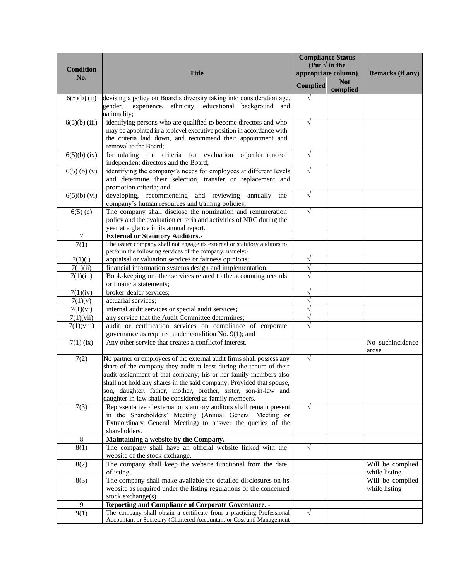|                     |                                                                                                                                     |                        | <b>Compliance Status</b>                      |                                   |
|---------------------|-------------------------------------------------------------------------------------------------------------------------------------|------------------------|-----------------------------------------------|-----------------------------------|
| <b>Condition</b>    | <b>Title</b>                                                                                                                        |                        | (Put $\sqrt{ }$ in the<br>appropriate column) | <b>Remarks (if any)</b>           |
| No.                 |                                                                                                                                     |                        | <b>Not</b>                                    |                                   |
|                     |                                                                                                                                     | <b>Complied</b>        | complied                                      |                                   |
| $6(5)(b)$ (ii)      | devising a policy on Board's diversity taking into consideration age,                                                               | $\sqrt{}$              |                                               |                                   |
|                     | experience, ethnicity, educational background and<br>gender,                                                                        |                        |                                               |                                   |
|                     | nationality;                                                                                                                        |                        |                                               |                                   |
| $6(5)(b)$ (iii)     | identifying persons who are qualified to become directors and who                                                                   | $\sqrt{}$              |                                               |                                   |
|                     | may be appointed in a toplevel executive position in accordance with<br>the criteria laid down, and recommend their appointment and |                        |                                               |                                   |
|                     | removal to the Board;                                                                                                               |                        |                                               |                                   |
| $6(5)(b)$ (iv)      | formulating the criteria for evaluation ofperformanceof                                                                             | $\sqrt{}$              |                                               |                                   |
|                     | independent directors and the Board;                                                                                                |                        |                                               |                                   |
| $6(5)$ (b) (v)      | identifying the company's needs for employees at different levels                                                                   | $\sqrt{}$              |                                               |                                   |
|                     | and determine their selection, transfer or replacement and                                                                          |                        |                                               |                                   |
|                     | promotion criteria; and                                                                                                             | $\sqrt{}$              |                                               |                                   |
| $6(5)(b)$ (vi)      | developing, recommending<br>and reviewing<br>annually<br>the<br>company's human resources and training policies;                    |                        |                                               |                                   |
| $6(5)$ (c)          | The company shall disclose the nomination and remuneration                                                                          | $\sqrt{}$              |                                               |                                   |
|                     | policy and the evaluation criteria and activities of NRC during the                                                                 |                        |                                               |                                   |
|                     | year at a glance in its annual report.                                                                                              |                        |                                               |                                   |
| 7                   | <b>External or Statutory Auditors.-</b>                                                                                             |                        |                                               |                                   |
| $\overline{7}(1)$   | The issuer company shall not engage its external or statutory auditors to                                                           |                        |                                               |                                   |
|                     | perform the following services of the company, namely:-                                                                             |                        |                                               |                                   |
| 7(1)(i)<br>7(1)(ii) | appraisal or valuation services or fairness opinions;<br>financial information systems design and implementation;                   | $\sqrt{}$<br>$\sqrt{}$ |                                               |                                   |
| 7(1)(iii)           | Book-keeping or other services related to the accounting records                                                                    |                        |                                               |                                   |
|                     | or financialstatements;                                                                                                             |                        |                                               |                                   |
| 7(1)(iv)            | broker-dealer services;                                                                                                             | $\sqrt{}$              |                                               |                                   |
| 7(1)(v)             | actuarial services;                                                                                                                 | $\sqrt{}$              |                                               |                                   |
| 7(1)(vi)            | internal audit services or special audit services;                                                                                  | $\sqrt{}$              |                                               |                                   |
| 7(1)(vii)           | any service that the Audit Committee determines;                                                                                    | $\sqrt{}$              |                                               |                                   |
| 7(1)(viii)          | audit or certification services on compliance of corporate                                                                          | V                      |                                               |                                   |
|                     | governance as required under condition No. 9(1); and                                                                                |                        |                                               |                                   |
| $7(1)$ (ix)         | Any other service that creates a conflictof interest.                                                                               |                        |                                               | No suchincidence<br>arose         |
| 7(2)                | No partner or employees of the external audit firms shall possess any                                                               | $\sqrt{}$              |                                               |                                   |
|                     | share of the company they audit at least during the tenure of their                                                                 |                        |                                               |                                   |
|                     | audit assignment of that company; his or her family members also                                                                    |                        |                                               |                                   |
|                     | shall not hold any shares in the said company: Provided that spouse,                                                                |                        |                                               |                                   |
|                     | son, daughter, father, mother, brother, sister, son-in-law and                                                                      |                        |                                               |                                   |
|                     | daughter-in-law shall be considered as family members.                                                                              | $\sqrt{ }$             |                                               |                                   |
| 7(3)                | Representative of external or statutory auditors shall remain present<br>in the Shareholders' Meeting (Annual General Meeting or    |                        |                                               |                                   |
|                     | Extraordinary General Meeting) to answer the queries of the                                                                         |                        |                                               |                                   |
|                     | shareholders.                                                                                                                       |                        |                                               |                                   |
| $\,8\,$             | Maintaining a website by the Company. -                                                                                             |                        |                                               |                                   |
| 8(1)                | The company shall have an official website linked with the                                                                          | $\sqrt{}$              |                                               |                                   |
|                     | website of the stock exchange.                                                                                                      |                        |                                               |                                   |
| 8(2)                | The company shall keep the website functional from the date                                                                         |                        |                                               | Will be complied                  |
|                     | oflisting.<br>The company shall make available the detailed disclosures on its                                                      |                        |                                               | while listing<br>Will be complied |
| 8(3)                | website as required under the listing regulations of the concerned                                                                  |                        |                                               | while listing                     |
|                     | stock exchange(s).                                                                                                                  |                        |                                               |                                   |
| 9                   | Reporting and Compliance of Corporate Governance. -                                                                                 |                        |                                               |                                   |
| 9(1)                | The company shall obtain a certificate from a practicing Professional                                                               | $\sqrt{ }$             |                                               |                                   |
|                     | Accountant or Secretary (Chartered Accountant or Cost and Management                                                                |                        |                                               |                                   |